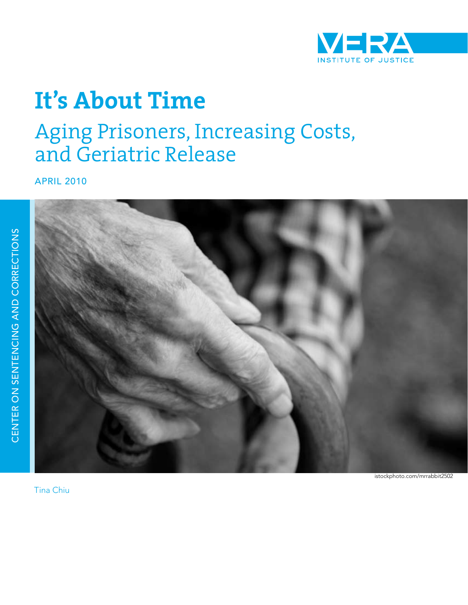

# **It's About Time**

# Aging Prisoners, Increasing Costs, and Geriatric Release

APRIL 2010



CENTER O

A UZIUZILIZIS Z

CENTER ON SENTENCING AND CORRECTIONS

ND CORRECTIONS

istockphoto.com/mrrabbit2502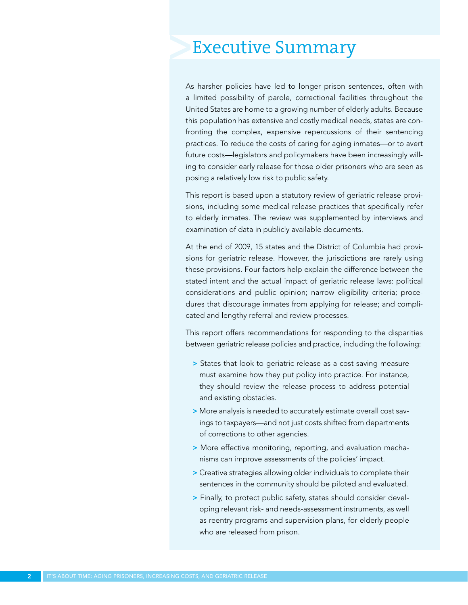# Executive Summary

As harsher policies have led to longer prison sentences, often with a limited possibility of parole, correctional facilities throughout the United States are home to a growing number of elderly adults. Because this population has extensive and costly medical needs, states are confronting the complex, expensive repercussions of their sentencing practices. To reduce the costs of caring for aging inmates—or to avert future costs—legislators and policymakers have been increasingly willing to consider early release for those older prisoners who are seen as posing a relatively low risk to public safety.

This report is based upon a statutory review of geriatric release provisions, including some medical release practices that specifically refer to elderly inmates. The review was supplemented by interviews and examination of data in publicly available documents.

At the end of 2009, 15 states and the District of Columbia had provisions for geriatric release. However, the jurisdictions are rarely using these provisions. Four factors help explain the difference between the stated intent and the actual impact of geriatric release laws: political considerations and public opinion; narrow eligibility criteria; procedures that discourage inmates from applying for release; and complicated and lengthy referral and review processes.

This report offers recommendations for responding to the disparities between geriatric release policies and practice, including the following:

- > States that look to geriatric release as a cost-saving measure must examine how they put policy into practice. For instance, they should review the release process to address potential and existing obstacles.
- > More analysis is needed to accurately estimate overall cost savings to taxpayers—and not just costs shifted from departments of corrections to other agencies.
- > More effective monitoring, reporting, and evaluation mechanisms can improve assessments of the policies' impact.
- > Creative strategies allowing older individuals to complete their sentences in the community should be piloted and evaluated.
- > Finally, to protect public safety, states should consider developing relevant risk- and needs-assessment instruments, as well as reentry programs and supervision plans, for elderly people who are released from prison.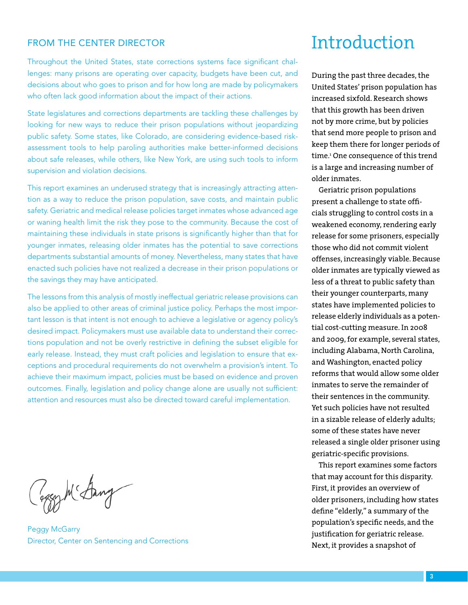### FROM THE CENTER DIRECTOR

Throughout the United States, state corrections systems face significant challenges: many prisons are operating over capacity, budgets have been cut, and decisions about who goes to prison and for how long are made by policymakers who often lack good information about the impact of their actions.

State legislatures and corrections departments are tackling these challenges by looking for new ways to reduce their prison populations without jeopardizing public safety. Some states, like Colorado, are considering evidence-based riskassessment tools to help paroling authorities make better-informed decisions about safe releases, while others, like New York, are using such tools to inform supervision and violation decisions.

This report examines an underused strategy that is increasingly attracting attention as a way to reduce the prison population, save costs, and maintain public safety. Geriatric and medical release policies target inmates whose advanced age or waning health limit the risk they pose to the community. Because the cost of maintaining these individuals in state prisons is significantly higher than that for younger inmates, releasing older inmates has the potential to save corrections departments substantial amounts of money. Nevertheless, many states that have enacted such policies have not realized a decrease in their prison populations or the savings they may have anticipated.

The lessons from this analysis of mostly ineffectual geriatric release provisions can also be applied to other areas of criminal justice policy. Perhaps the most important lesson is that intent is not enough to achieve a legislative or agency policy's desired impact. Policymakers must use available data to understand their corrections population and not be overly restrictive in defining the subset eligible for early release. Instead, they must craft policies and legislation to ensure that exceptions and procedural requirements do not overwhelm a provision's intent. To achieve their maximum impact, policies must be based on evidence and proven outcomes. Finally, legislation and policy change alone are usually not sufficient: attention and resources must also be directed toward careful implementation.

Caggy M'Sang

Peggy McGarry Director, Center on Sentencing and Corrections

# Introduction

During the past three decades, the United States' prison population has increased sixfold. Research shows that this growth has been driven not by more crime, but by policies that send more people to prison and keep them there for longer periods of time.1 One consequence of this trend is a large and increasing number of older inmates.

Geriatric prison populations present a challenge to state officials struggling to control costs in a weakened economy, rendering early release for some prisoners, especially those who did not commit violent offenses, increasingly viable. Because older inmates are typically viewed as less of a threat to public safety than their younger counterparts, many states have implemented policies to release elderly individuals as a potential cost-cutting measure. In 2008 and 2009, for example, several states, including Alabama, North Carolina, and Washington, enacted policy reforms that would allow some older inmates to serve the remainder of their sentences in the community. Yet such policies have not resulted in a sizable release of elderly adults; some of these states have never released a single older prisoner using geriatric-specific provisions.

This report examines some factors that may account for this disparity. First, it provides an overview of older prisoners, including how states define "elderly," a summary of the population's specific needs, and the justification for geriatric release. Next, it provides a snapshot of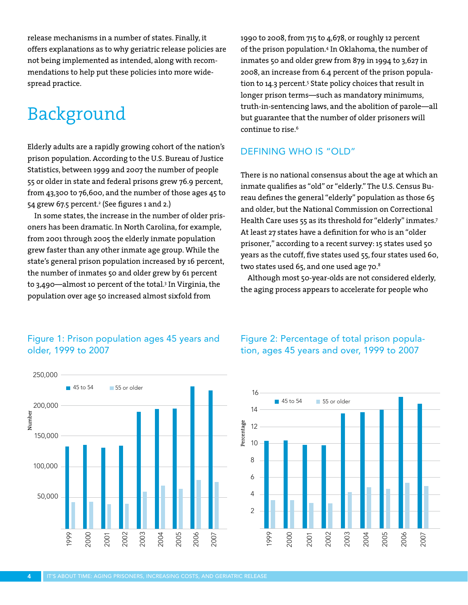release mechanisms in a number of states. Finally, it offers explanations as to why geriatric release policies are not being implemented as intended, along with recommendations to help put these policies into more widespread practice.

# Background

Elderly adults are a rapidly growing cohort of the nation's prison population. According to the U.S. Bureau of Justice Statistics, between 1999 and 2007 the number of people 55 or older in state and federal prisons grew 76.9 percent, from 43,300 to 76,600, and the number of those ages 45 to 54 grew 67.5 percent.<del>'</del> (See figures 1 and 2.)

In some states, the increase in the number of older prisoners has been dramatic. In North Carolina, for example, from 2001 through 2005 the elderly inmate population grew faster than any other inmate age group. While the state's general prison population increased by 16 percent, the number of inmates 50 and older grew by 61 percent to 3,490—almost 10 percent of the total.3 In Virginia, the population over age 50 increased almost sixfold from

1990 to 2008, from 715 to 4,678, or roughly 12 percent of the prison population.4 In Oklahoma, the number of inmates 50 and older grew from 879 in 1994 to 3,627 in 2008, an increase from 6.4 percent of the prison population to 14.3 percent.<sup>5</sup> State policy choices that result in longer prison terms—such as mandatory minimums, truth-in-sentencing laws, and the abolition of parole—all but guarantee that the number of older prisoners will continue to rise.<sup>6</sup>

## DEFINING WHO IS "OLD"

There is no national consensus about the age at which an inmate qualifies as "old" or "elderly." The U.S. Census Bureau defines the general "elderly" population as those 65 and older, but the National Commission on Correctional Health Care uses 55 as its threshold for "elderly" inmates.<sup>7</sup> At least 27 states have a definition for who is an "older prisoner," according to a recent survey: 15 states used 50 years as the cutoff, five states used 55, four states used 60, two states used 65, and one used age 70.8

Although most 50-year-olds are not considered elderly, the aging process appears to accelerate for people who

### Figure 1: Prison population ages 45 years and older, 1999 to 2007



Figure 2: Percentage of total prison population, ages 45 years and over, 1999 to 2007

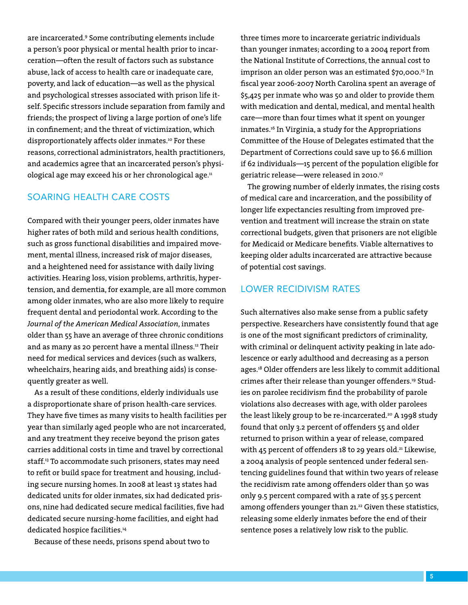are incarcerated.9 Some contributing elements include a person's poor physical or mental health prior to incarceration—often the result of factors such as substance abuse, lack of access to health care or inadequate care, poverty, and lack of education—as well as the physical and psychological stresses associated with prison life itself. Specific stressors include separation from family and friends; the prospect of living a large portion of one's life in confinement; and the threat of victimization, which disproportionately affects older inmates.<sup>10</sup> For these reasons, correctional administrators, health practitioners, and academics agree that an incarcerated person's physiological age may exceed his or her chronological age.<sup>11</sup>

### SOARING HEALTH CARE COSTS

Compared with their younger peers, older inmates have higher rates of both mild and serious health conditions, such as gross functional disabilities and impaired movement, mental illness, increased risk of major diseases, and a heightened need for assistance with daily living activities. Hearing loss, vision problems, arthritis, hypertension, and dementia, for example, are all more common among older inmates, who are also more likely to require frequent dental and periodontal work. According to the *Journal of the American Medical Association*, inmates older than 55 have an average of three chronic conditions and as many as 20 percent have a mental illness.12 Their need for medical services and devices (such as walkers, wheelchairs, hearing aids, and breathing aids) is consequently greater as well.

As a result of these conditions, elderly individuals use a disproportionate share of prison health-care services. They have five times as many visits to health facilities per year than similarly aged people who are not incarcerated, and any treatment they receive beyond the prison gates carries additional costs in time and travel by correctional staff.13 To accommodate such prisoners, states may need to refit or build space for treatment and housing, including secure nursing homes. In 2008 at least 13 states had dedicated units for older inmates, six had dedicated prisons, nine had dedicated secure medical facilities, five had dedicated secure nursing-home facilities, and eight had dedicated hospice facilities.<sup>14</sup>

Because of these needs, prisons spend about two to

three times more to incarcerate geriatric individuals than younger inmates; according to a 2004 report from the National Institute of Corrections, the annual cost to imprison an older person was an estimated \$70,000.15 In fiscal year 2006-2007 North Carolina spent an average of \$5,425 per inmate who was 50 and older to provide them with medication and dental, medical, and mental health care—more than four times what it spent on younger inmates.16 In Virginia, a study for the Appropriations Committee of the House of Delegates estimated that the Department of Corrections could save up to \$6.6 million if 62 individuals—15 percent of the population eligible for geriatric release—were released in 2010.17

The growing number of elderly inmates, the rising costs of medical care and incarceration, and the possibility of longer life expectancies resulting from improved prevention and treatment will increase the strain on state correctional budgets, given that prisoners are not eligible for Medicaid or Medicare benefits. Viable alternatives to keeping older adults incarcerated are attractive because of potential cost savings.

#### LOWER RECIDIVISM RATES

Such alternatives also make sense from a public safety perspective. Researchers have consistently found that age is one of the most significant predictors of criminality, with criminal or delinquent activity peaking in late adolescence or early adulthood and decreasing as a person ages.18 Older offenders are less likely to commit additional crimes after their release than younger offenders.<sup>19</sup> Studies on parolee recidivism find the probability of parole violations also decreases with age, with older parolees the least likely group to be re-incarcerated.<sup>20</sup> A 1998 study found that only 3.2 percent of offenders 55 and older returned to prison within a year of release, compared with 45 percent of offenders 18 to 29 years old.<sup>21</sup> Likewise, a 2004 analysis of people sentenced under federal sentencing guidelines found that within two years of release the recidivism rate among offenders older than 50 was only 9.5 percent compared with a rate of 35.5 percent among offenders younger than 21.<sup>22</sup> Given these statistics, releasing some elderly inmates before the end of their sentence poses a relatively low risk to the public.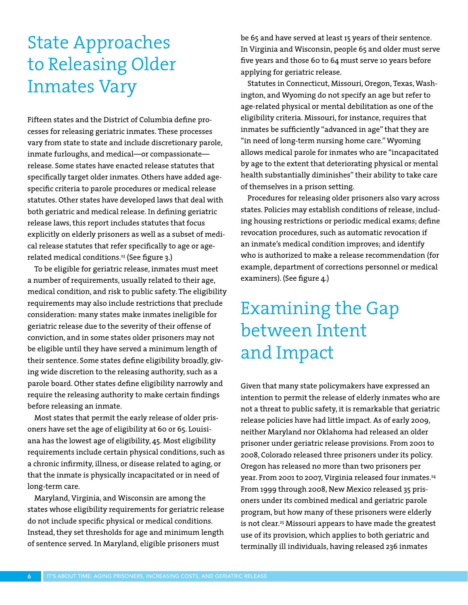# State Approaches to Releasing Older Inmates Vary

Fifteen states and the District of Columbia define processes for releasing geriatric inmates. These processes vary from state to state and include discretionary parole, inmate furloughs, and medical—or compassionate release. Some states have enacted release statutes that specifically target older inmates. Others have added agespecific criteria to parole procedures or medical release statutes. Other states have developed laws that deal with both geriatric and medical release. In defining geriatric release laws, this report includes statutes that focus explicitly on elderly prisoners as well as a subset of medical release statutes that refer specifically to age or agerelated medical conditions.<sup>23</sup> (See figure 3.)

To be eligible for geriatric release, inmates must meet a number of requirements, usually related to their age, medical condition, and risk to public safety. The eligibility requirements may also include restrictions that preclude consideration: many states make inmates ineligible for geriatric release due to the severity of their offense of conviction, and in some states older prisoners may not be eligible until they have served a minimum length of their sentence. Some states define eligibility broadly, giving wide discretion to the releasing authority, such as a parole board. Other states define eligibility narrowly and require the releasing authority to make certain findings before releasing an inmate.

Most states that permit the early release of older prisoners have set the age of eligibility at 60 or 65. Louisiana has the lowest age of eligibility, 45. Most eligibility requirements include certain physical conditions, such as a chronic infirmity, illness, or disease related to aging, or that the inmate is physically incapacitated or in need of long-term care.

Maryland, Virginia, and Wisconsin are among the states whose eligibility requirements for geriatric release do not include specific physical or medical conditions. Instead, they set thresholds for age and minimum length of sentence served. In Maryland, eligible prisoners must

be 65 and have served at least 15 years of their sentence. In Virginia and Wisconsin, people 65 and older must serve five years and those 60 to 64 must serve 10 years before applying for geriatric release.

Statutes in Connecticut, Missouri, Oregon, Texas, Washington, and Wyoming do not specify an age but refer to age-related physical or mental debilitation as one of the eligibility criteria. Missouri, for instance, requires that inmates be sufficiently "advanced in age" that they are "in need of long-term nursing home care." Wyoming allows medical parole for inmates who are "incapacitated by age to the extent that deteriorating physical or mental health substantially diminishes" their ability to take care of themselves in a prison setting.

Procedures for releasing older prisoners also vary across states. Policies may establish conditions of release, including housing restrictions or periodic medical exams; define revocation procedures, such as automatic revocation if an inmate's medical condition improves; and identify who is authorized to make a release recommendation (for example, department of corrections personnel or medical examiners). (See figure 4.)

# Examining the Gap between Intent and Impact

Given that many state policymakers have expressed an intention to permit the release of elderly inmates who are not a threat to public safety, it is remarkable that geriatric release policies have had little impact. As of early 2009, neither Maryland nor Oklahoma had released an older prisoner under geriatric release provisions. From 2001 to 2008, Colorado released three prisoners under its policy. Oregon has released no more than two prisoners per year. From 2001 to 2007, Virginia released four inmates.<sup>24</sup> From 1999 through 2008, New Mexico released 35 prisoners under its combined medical and geriatric parole program, but how many of these prisoners were elderly is not clear.<sup>25</sup> Missouri appears to have made the greatest use of its provision, which applies to both geriatric and terminally ill individuals, having released 236 inmates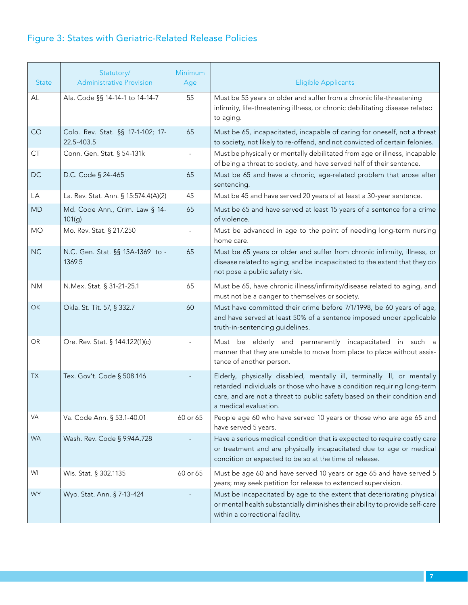# Figure 3: States with Geriatric-Related Release Policies

| <b>State</b> | Statutory/<br><b>Administrative Provision</b>   | <b>Minimum</b><br>Age | <b>Eligible Applicants</b>                                                                                                                                                                                                                             |
|--------------|-------------------------------------------------|-----------------------|--------------------------------------------------------------------------------------------------------------------------------------------------------------------------------------------------------------------------------------------------------|
| AL           | Ala. Code §§ 14-14-1 to 14-14-7                 | 55                    | Must be 55 years or older and suffer from a chronic life-threatening<br>infirmity, life-threatening illness, or chronic debilitating disease related<br>to aging.                                                                                      |
| CO           | Colo. Rev. Stat. §§ 17-1-102; 17-<br>22.5-403.5 | 65                    | Must be 65, incapacitated, incapable of caring for oneself, not a threat<br>to society, not likely to re-offend, and not convicted of certain felonies.                                                                                                |
| CT           | Conn. Gen. Stat. § 54-131k                      |                       | Must be physically or mentally debilitated from age or illness, incapable<br>of being a threat to society, and have served half of their sentence.                                                                                                     |
| <b>DC</b>    | D.C. Code § 24-465                              | 65                    | Must be 65 and have a chronic, age-related problem that arose after<br>sentencing.                                                                                                                                                                     |
| LA           | La. Rev. Stat. Ann. § 15:574.4(A)(2)            | 45                    | Must be 45 and have served 20 years of at least a 30-year sentence.                                                                                                                                                                                    |
| <b>MD</b>    | Md. Code Ann., Crim. Law § 14-<br>101(g)        | 65                    | Must be 65 and have served at least 15 years of a sentence for a crime<br>of violence.                                                                                                                                                                 |
| <b>MO</b>    | Mo. Rev. Stat. § 217.250                        |                       | Must be advanced in age to the point of needing long-term nursing<br>home care.                                                                                                                                                                        |
| <b>NC</b>    | N.C. Gen. Stat. §§ 15A-1369 to -<br>1369.5      | 65                    | Must be 65 years or older and suffer from chronic infirmity, illness, or<br>disease related to aging; and be incapacitated to the extent that they do<br>not pose a public safety risk.                                                                |
| <b>NM</b>    | N.Mex. Stat. § 31-21-25.1                       | 65                    | Must be 65, have chronic illness/infirmity/disease related to aging, and<br>must not be a danger to themselves or society.                                                                                                                             |
| <b>OK</b>    | Okla. St. Tit. 57, § 332.7                      | 60                    | Must have committed their crime before 7/1/1998, be 60 years of age,<br>and have served at least 50% of a sentence imposed under applicable<br>truth-in-sentencing guidelines.                                                                         |
| OR.          | Ore. Rev. Stat. § 144.122(1)(c)                 |                       | Must be elderly and permanently incapacitated in such a<br>manner that they are unable to move from place to place without assis-<br>tance of another person.                                                                                          |
| TX           | Tex. Gov't. Code § 508.146                      |                       | Elderly, physically disabled, mentally ill, terminally ill, or mentally<br>retarded individuals or those who have a condition requiring long-term<br>care, and are not a threat to public safety based on their condition and<br>a medical evaluation. |
| <b>VA</b>    | Va. Code Ann. § 53.1-40.01                      | 60 or 65              | People age 60 who have served 10 years or those who are age 65 and<br>have served 5 years.                                                                                                                                                             |
| <b>WA</b>    | Wash. Rev. Code § 9.94A.728                     |                       | Have a serious medical condition that is expected to require costly care<br>or treatment and are physically incapacitated due to age or medical<br>condition or expected to be so at the time of release.                                              |
| WI           | Wis. Stat. § 302.1135                           | 60 or 65              | Must be age 60 and have served 10 years or age 65 and have served 5<br>years; may seek petition for release to extended supervision.                                                                                                                   |
| WY.          | Wyo. Stat. Ann. § 7-13-424                      |                       | Must be incapacitated by age to the extent that deteriorating physical<br>or mental health substantially diminishes their ability to provide self-care<br>within a correctional facility.                                                              |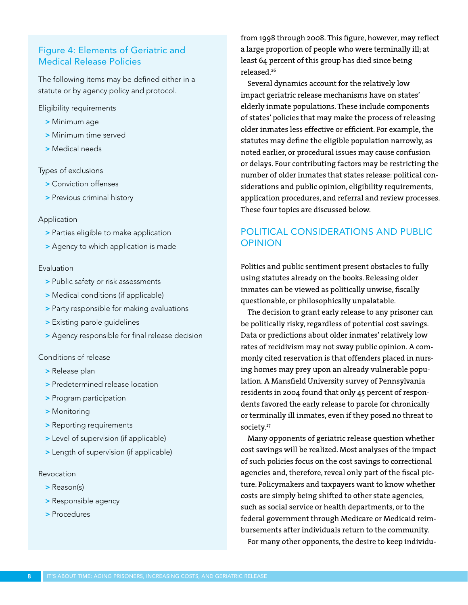## Figure 4: Elements of Geriatric and Medical Release Policies

The following items may be defined either in a statute or by agency policy and protocol.

Eligibility requirements

- > Minimum age
- > Minimum time served
- > Medical needs

#### Types of exclusions

- > Conviction offenses
- > Previous criminal history

#### Application

- > Parties eligible to make application
- > Agency to which application is made

#### Evaluation

- > Public safety or risk assessments
- > Medical conditions (if applicable)
- > Party responsible for making evaluations
- > Existing parole guidelines
- > Agency responsible for final release decision

#### Conditions of release

- > Release plan
- > Predetermined release location
- > Program participation
- > Monitoring
- > Reporting requirements
- > Level of supervision (if applicable)
- > Length of supervision (if applicable)

#### Revocation

- > Reason(s)
- > Responsible agency
- > Procedures

from 1998 through 2008. This figure, however, may reflect a large proportion of people who were terminally ill; at least 64 percent of this group has died since being released.26

Several dynamics account for the relatively low impact geriatric release mechanisms have on states' elderly inmate populations. These include components of states' policies that may make the process of releasing older inmates less effective or efficient. For example, the statutes may define the eligible population narrowly, as noted earlier, or procedural issues may cause confusion or delays. Four contributing factors may be restricting the number of older inmates that states release: political considerations and public opinion, eligibility requirements, application procedures, and referral and review processes. These four topics are discussed below.

# POLITICAL CONSIDERATIONS AND PUBLIC OPINION

Politics and public sentiment present obstacles to fully using statutes already on the books. Releasing older inmates can be viewed as politically unwise, fiscally questionable, or philosophically unpalatable.

The decision to grant early release to any prisoner can be politically risky, regardless of potential cost savings. Data or predictions about older inmates' relatively low rates of recidivism may not sway public opinion. A commonly cited reservation is that offenders placed in nursing homes may prey upon an already vulnerable population. A Mansfield University survey of Pennsylvania residents in 2004 found that only 45 percent of respondents favored the early release to parole for chronically or terminally ill inmates, even if they posed no threat to society.<sup>27</sup>

Many opponents of geriatric release question whether cost savings will be realized. Most analyses of the impact of such policies focus on the cost savings to correctional agencies and, therefore, reveal only part of the fiscal picture. Policymakers and taxpayers want to know whether costs are simply being shifted to other state agencies, such as social service or health departments, or to the federal government through Medicare or Medicaid reimbursements after individuals return to the community. For many other opponents, the desire to keep individu-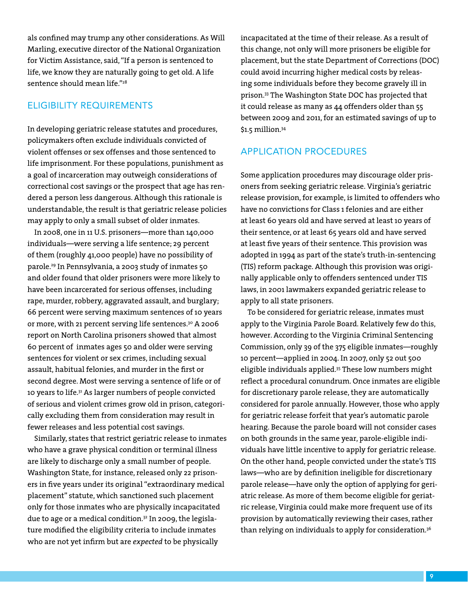als confined may trump any other considerations. As Will Marling, executive director of the National Organization for Victim Assistance, said, "If a person is sentenced to life, we know they are naturally going to get old. A life sentence should mean life"<sup>28</sup>

# ELIGIBILITY REQUIREMENTS

In developing geriatric release statutes and procedures, policymakers often exclude individuals convicted of violent offenses or sex offenses and those sentenced to life imprisonment. For these populations, punishment as a goal of incarceration may outweigh considerations of correctional cost savings or the prospect that age has rendered a person less dangerous. Although this rationale is understandable, the result is that geriatric release policies may apply to only a small subset of older inmates.

In 2008, one in 11 U.S. prisoners—more than 140,000 individuals—were serving a life sentence; 29 percent of them (roughly 41,000 people) have no possibility of parole.29 In Pennsylvania, a 2003 study of inmates 50 and older found that older prisoners were more likely to have been incarcerated for serious offenses, including rape, murder, robbery, aggravated assault, and burglary; 66 percent were serving maximum sentences of 10 years or more, with 21 percent serving life sentences.<sup>30</sup> A 2006 report on North Carolina prisoners showed that almost 60 percent of inmates ages 50 and older were serving sentences for violent or sex crimes, including sexual assault, habitual felonies, and murder in the first or second degree. Most were serving a sentence of life or of 10 years to life.31 As larger numbers of people convicted of serious and violent crimes grow old in prison, categorically excluding them from consideration may result in fewer releases and less potential cost savings.

Similarly, states that restrict geriatric release to inmates who have a grave physical condition or terminal illness are likely to discharge only a small number of people. Washington State, for instance, released only 22 prisoners in five years under its original "extraordinary medical placement" statute, which sanctioned such placement only for those inmates who are physically incapacitated due to age or a medical condition.<sup>32</sup> In 2009, the legislature modified the eligibility criteria to include inmates who are not yet infirm but are *expected* to be physically

incapacitated at the time of their release. As a result of this change, not only will more prisoners be eligible for placement, but the state Department of Corrections (DOC) could avoid incurring higher medical costs by releasing some individuals before they become gravely ill in prison.33 The Washington State DOC has projected that it could release as many as 44 offenders older than 55 between 2009 and 2011, for an estimated savings of up to \$1.5 million.34

### APPLICATION PROCEDURES

Some application procedures may discourage older prisoners from seeking geriatric release. Virginia's geriatric release provision, for example, is limited to offenders who have no convictions for Class 1 felonies and are either at least 60 years old and have served at least 10 years of their sentence, or at least 65 years old and have served at least five years of their sentence. This provision was adopted in 1994 as part of the state's truth-in-sentencing (TIS) reform package. Although this provision was originally applicable only to offenders sentenced under TIS laws, in 2001 lawmakers expanded geriatric release to apply to all state prisoners.

To be considered for geriatric release, inmates must apply to the Virginia Parole Board. Relatively few do this, however. According to the Virginia Criminal Sentencing Commission, only 39 of the 375 eligible inmates—roughly 10 percent—applied in 2004. In 2007, only 52 out 500 eligible individuals applied.35 These low numbers might reflect a procedural conundrum. Once inmates are eligible for discretionary parole release, they are automatically considered for parole annually. However, those who apply for geriatric release forfeit that year's automatic parole hearing. Because the parole board will not consider cases on both grounds in the same year, parole-eligible individuals have little incentive to apply for geriatric release. On the other hand, people convicted under the state's TIS laws—who are by definition ineligible for discretionary parole release—have only the option of applying for geriatric release. As more of them become eligible for geriatric release, Virginia could make more frequent use of its provision by automatically reviewing their cases, rather than relying on individuals to apply for consideration.<sup>36</sup>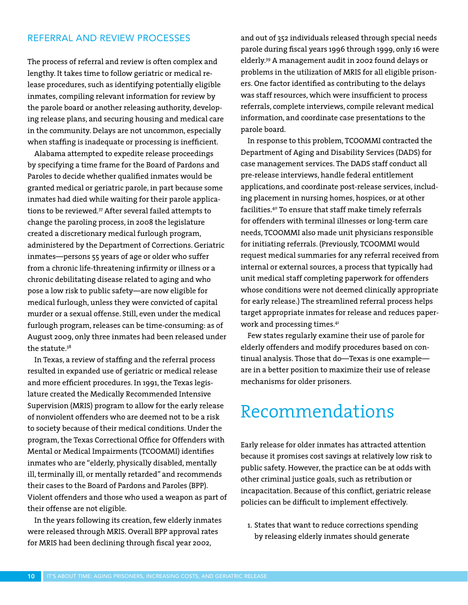### REFERRAL AND REVIEW PROCESSES

The process of referral and review is often complex and lengthy. It takes time to follow geriatric or medical release procedures, such as identifying potentially eligible inmates, compiling relevant information for review by the parole board or another releasing authority, developing release plans, and securing housing and medical care in the community. Delays are not uncommon, especially when staffing is inadequate or processing is inefficient.

Alabama attempted to expedite release proceedings by specifying a time frame for the Board of Pardons and Paroles to decide whether qualified inmates would be granted medical or geriatric parole, in part because some inmates had died while waiting for their parole applications to be reviewed.37 After several failed attempts to change the paroling process, in 2008 the legislature created a discretionary medical furlough program, administered by the Department of Corrections. Geriatric inmates—persons 55 years of age or older who suffer from a chronic life-threatening infirmity or illness or a chronic debilitating disease related to aging and who pose a low risk to public safety—are now eligible for medical furlough, unless they were convicted of capital murder or a sexual offense. Still, even under the medical furlough program, releases can be time-consuming: as of August 2009, only three inmates had been released under the statute.38

In Texas, a review of staffing and the referral process resulted in expanded use of geriatric or medical release and more efficient procedures. In 1991, the Texas legislature created the Medically Recommended Intensive Supervision (MRIS) program to allow for the early release of nonviolent offenders who are deemed not to be a risk to society because of their medical conditions. Under the program, the Texas Correctional Office for Offenders with Mental or Medical Impairments (TCOOMMI) identifies inmates who are "elderly, physically disabled, mentally ill, terminally ill, or mentally retarded" and recommends their cases to the Board of Pardons and Paroles (BPP). Violent offenders and those who used a weapon as part of their offense are not eligible.

In the years following its creation, few elderly inmates were released through MRIS. Overall BPP approval rates for MRIS had been declining through fiscal year 2002,

and out of 352 individuals released through special needs parole during fiscal years 1996 through 1999, only 16 were elderly.39 A management audit in 2002 found delays or problems in the utilization of MRIS for all eligible prisoners. One factor identified as contributing to the delays was staff resources, which were insufficient to process referrals, complete interviews, compile relevant medical information, and coordinate case presentations to the parole board.

In response to this problem, TCOOMMI contracted the Department of Aging and Disability Services (DADS) for case management services. The DADS staff conduct all pre-release interviews, handle federal entitlement applications, and coordinate post-release services, including placement in nursing homes, hospices, or at other facilities.40 To ensure that staff make timely referrals for offenders with terminal illnesses or long-term care needs, TCOOMMI also made unit physicians responsible for initiating referrals. (Previously, TCOOMMI would request medical summaries for any referral received from internal or external sources, a process that typically had unit medical staff completing paperwork for offenders whose conditions were not deemed clinically appropriate for early release.) The streamlined referral process helps target appropriate inmates for release and reduces paperwork and processing times.<sup>41</sup>

Few states regularly examine their use of parole for elderly offenders and modify procedures based on continual analysis. Those that do—Texas is one example are in a better position to maximize their use of release mechanisms for older prisoners.

# Recommendations

Early release for older inmates has attracted attention because it promises cost savings at relatively low risk to public safety. However, the practice can be at odds with other criminal justice goals, such as retribution or incapacitation. Because of this conflict, geriatric release policies can be difficult to implement effectively.

1. States that want to reduce corrections spending by releasing elderly inmates should generate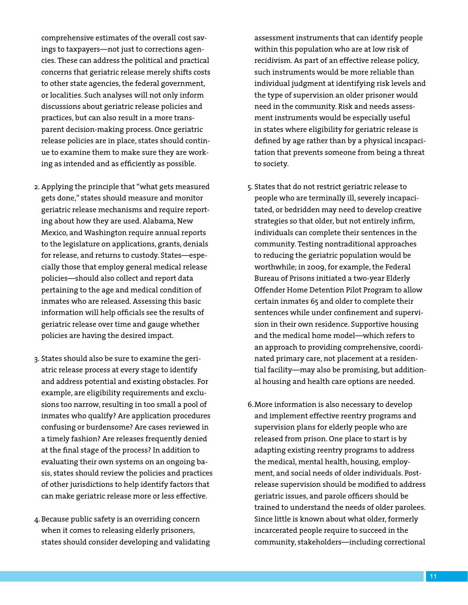comprehensive estimates of the overall cost savings to taxpayers—not just to corrections agencies. These can address the political and practical concerns that geriatric release merely shifts costs to other state agencies, the federal government, or localities. Such analyses will not only inform discussions about geriatric release policies and practices, but can also result in a more transparent decision-making process. Once geriatric release policies are in place, states should continue to examine them to make sure they are working as intended and as efficiently as possible.

- 2. Applying the principle that "what gets measured gets done," states should measure and monitor geriatric release mechanisms and require reporting about how they are used. Alabama, New Mexico, and Washington require annual reports to the legislature on applications, grants, denials for release, and returns to custody. States—especially those that employ general medical release policies—should also collect and report data pertaining to the age and medical condition of inmates who are released. Assessing this basic information will help officials see the results of geriatric release over time and gauge whether policies are having the desired impact.
- 3. States should also be sure to examine the geriatric release process at every stage to identify and address potential and existing obstacles. For example, are eligibility requirements and exclusions too narrow, resulting in too small a pool of inmates who qualify? Are application procedures confusing or burdensome? Are cases reviewed in a timely fashion? Are releases frequently denied at the final stage of the process? In addition to evaluating their own systems on an ongoing basis, states should review the policies and practices of other jurisdictions to help identify factors that can make geriatric release more or less effective.
- 4.Because public safety is an overriding concern when it comes to releasing elderly prisoners, states should consider developing and validating

assessment instruments that can identify people within this population who are at low risk of recidivism. As part of an effective release policy, such instruments would be more reliable than individual judgment at identifying risk levels and the type of supervision an older prisoner would need in the community. Risk and needs assessment instruments would be especially useful in states where eligibility for geriatric release is defined by age rather than by a physical incapacitation that prevents someone from being a threat to society.

- 5. States that do not restrict geriatric release to people who are terminally ill, severely incapacitated, or bedridden may need to develop creative strategies so that older, but not entirely infirm, individuals can complete their sentences in the community. Testing nontraditional approaches to reducing the geriatric population would be worthwhile; in 2009, for example, the Federal Bureau of Prisons initiated a two-year Elderly Offender Home Detention Pilot Program to allow certain inmates 65 and older to complete their sentences while under confinement and supervision in their own residence. Supportive housing and the medical home model—which refers to an approach to providing comprehensive, coordinated primary care, not placement at a residential facility—may also be promising, but additional housing and health care options are needed.
- 6.More information is also necessary to develop and implement effective reentry programs and supervision plans for elderly people who are released from prison. One place to start is by adapting existing reentry programs to address the medical, mental health, housing, employment, and social needs of older individuals. Postrelease supervision should be modified to address geriatric issues, and parole officers should be trained to understand the needs of older parolees. Since little is known about what older, formerly incarcerated people require to succeed in the community, stakeholders—including correctional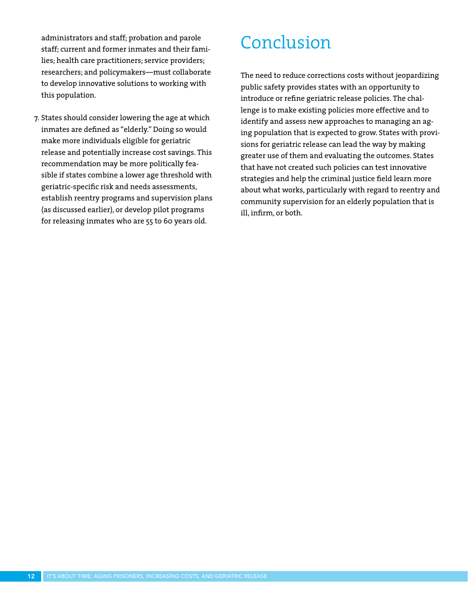administrators and staff; probation and parole staff; current and former inmates and their families; health care practitioners; service providers; researchers; and policymakers—must collaborate to develop innovative solutions to working with this population.

7. States should consider lowering the age at which inmates are defined as "elderly." Doing so would make more individuals eligible for geriatric release and potentially increase cost savings. This recommendation may be more politically feasible if states combine a lower age threshold with geriatric-specific risk and needs assessments, establish reentry programs and supervision plans (as discussed earlier), or develop pilot programs for releasing inmates who are 55 to 60 years old.

# Conclusion

The need to reduce corrections costs without jeopardizing public safety provides states with an opportunity to introduce or refine geriatric release policies. The challenge is to make existing policies more effective and to identify and assess new approaches to managing an aging population that is expected to grow. States with provisions for geriatric release can lead the way by making greater use of them and evaluating the outcomes. States that have not created such policies can test innovative strategies and help the criminal justice field learn more about what works, particularly with regard to reentry and community supervision for an elderly population that is ill, infirm, or both.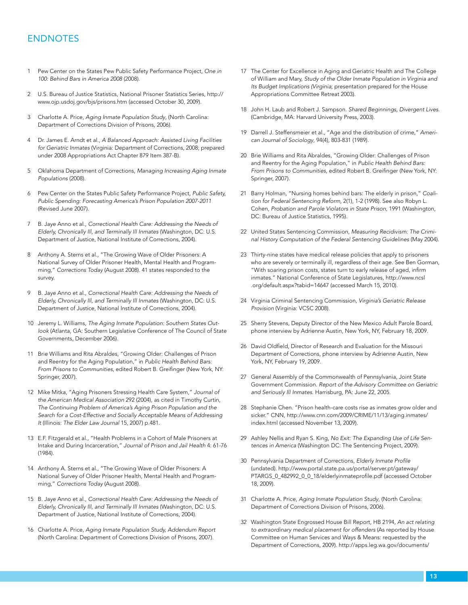### ENDNOTES

- 1 Pew Center on the States Pew Public Safety Performance Project, One in 100: Behind Bars in America 2008 (2008).
- 2 U.S. Bureau of Justice Statistics, National Prisoner Statistics Series, http:// www.ojp.usdoj.gov/bjs/prisons.htm (accessed October 30, 2009).
- 3 Charlotte A. Price, Aging Inmate Population Study, (North Carolina: Department of Corrections Division of Prisons, 2006).
- 4 Dr. James E. Arndt et al., A Balanced Approach: Assisted Living Facilities for Geriatric Inmates (Virginia: Department of Corrections, 2008; prepared under 2008 Appropriations Act Chapter 879 Item 387-B).
- 5 Oklahoma Department of Corrections, Managing Increasing Aging Inmate Populations (2008).
- 6 Pew Center on the States Public Safety Performance Project, Public Safety, Public Spending: Forecasting America's Prison Population 2007-2011 (Revised June 2007).
- 7 B. Jaye Anno et al., Correctional Health Care: Addressing the Needs of Elderly, Chronically Ill, and Terminally Ill Inmates (Washington, DC: U.S. Department of Justice, National Institute of Corrections, 2004).
- 8 Anthony A. Sterns et al., "The Growing Wave of Older Prisoners: A National Survey of Older Prisoner Health, Mental Health and Programming," Corrections Today (August 2008). 41 states responded to the survey.
- B. Jaye Anno et al., Correctional Health Care: Addressing the Needs of Elderly, Chronically Ill, and Terminally Ill Inmates (Washington, DC: U.S. Department of Justice, National Institute of Corrections, 2004).
- 10 Jeremy L. Williams, The Aging Inmate Population: Southern States Outlook (Atlanta, GA: Southern Legislative Conference of The Council of State Governments, December 2006).
- 11 Brie Williams and Rita Abraldes, "Growing Older: Challenges of Prison and Reentry for the Aging Population," in Public Health Behind Bars: From Prisons to Communities, edited Robert B. Greifinger (New York, NY: Springer, 2007).
- 12 Mike Mitka, "Aging Prisoners Stressing Health Care System," Journal of the American Medical Association 292 (2004), as cited in Timothy Curtin, The Continuing Problem of America's Aging Prison Population and the Search for a Cost-Effective and Socially Acceptable Means of Addressing It (Illinois: The Elder Law Journal 15, 2007) p.481.
- 13 E.F. Fitzgerald et al., "Health Problems in a Cohort of Male Prisoners at Intake and During Incarceration," Journal of Prison and Jail Health 4: 61-76 (1984).
- 14 Anthony A. Sterns et al., "The Growing Wave of Older Prisoners: A National Survey of Older Prisoner Health, Mental Health and Programming," Corrections Today (August 2008).
- 15 B. Jaye Anno et al., Correctional Health Care: Addressing the Needs of Elderly, Chronically Ill, and Terminally Ill Inmates (Washington, DC: U.S. Department of Justice, National Institute of Corrections, 2004).
- 16 Charlotte A. Price, Aging Inmate Population Study, Addendum Report (North Carolina: Department of Corrections Division of Prisons, 2007).
- 17 The Center for Excellence in Aging and Geriatric Health and The College of William and Mary, Study of the Older Inmate Population in Virginia and Its Budget Implications (Virginia; presentation prepared for the House Appropriations Committee Retreat 2003).
- 18 John H. Laub and Robert J. Sampson. Shared Beginnings, Divergent Lives. (Cambridge, MA: Harvard University Press, 2003).
- 19 Darrell J. Steffensmeier et al., "Age and the distribution of crime," American Journal of Sociology, 94(4), 803-831 (1989).
- 20 Brie Williams and Rita Abraldes, "Growing Older: Challenges of Prison and Reentry for the Aging Population," in Public Health Behind Bars: From Prisons to Communities, edited Robert B. Greifinger (New York, NY: Springer, 2007).
- 21 Barry Holman, "Nursing homes behind bars: The elderly in prison," Coalition for Federal Sentencing Reform, 2(1), 1-2 (1998). See also Robyn L. Cohen, Probation and Parole Violators in State Prison, 1991 (Washington, DC: Bureau of Justice Statistics, 1995).
- 22 United States Sentencing Commission, Measuring Recidivism: The Criminal History Computation of the Federal Sentencing Guidelines (May 2004).
- 23 Thirty-nine states have medical release policies that apply to prisoners who are severely or terminally ill, regardless of their age. See Ben Gorman, "With soaring prison costs, states turn to early release of aged, infirm inmates." National Conference of State Legislatures, http://www.ncsl .org/default.aspx?tabid=14647 (accessed March 15, 2010).
- 24 Virginia Criminal Sentencing Commission, Virginia's Geriatric Release Provision (Virginia: VCSC 2008).
- 25 Sherry Stevens, Deputy Director of the New Mexico Adult Parole Board, phone interview by Adrienne Austin, New York, NY, February 18, 2009.
- 26 David Oldfield, Director of Research and Evaluation for the Missouri Department of Corrections, phone interview by Adrienne Austin, New York, NY, February 19, 2009.
- 27 General Assembly of the Commonwealth of Pennsylvania, Joint State Government Commission. Report of the Advisory Committee on Geriatric and Seriously Ill Inmates. Harrisburg, PA: June 22, 2005.
- 28 Stephanie Chen. "Prison health-care costs rise as inmates grow older and sicker." CNN, http://www.cnn.com/2009/CRIME/11/13/aging.inmates/ index.html (accessed November 13, 2009).
- 29 Ashley Nellis and Ryan S. King, No Exit: The Expanding Use of Life Sentences in America (Washington DC: The Sentencing Project, 2009).
- 30 Pennsylvania Department of Corrections, Elderly Inmate Profile (undated). http://www.portal.state.pa.us/portal/server.pt/gateway/ PTARGS\_0\_482992\_0\_0\_18/elderlyinmateprofile.pdf (accessed October 18, 2009).
- 31 Charlotte A. Price, Aging Inmate Population Study, (North Carolina: Department of Corrections Division of Prisons, 2006).
- 32 Washington State Engrossed House Bill Report, HB 2194, An act relating to extraordinary medical placement for offenders (As reported by House Committee on Human Services and Ways & Means: requested by the Department of Corrections, 2009). http://apps.leg.wa.gov/documents/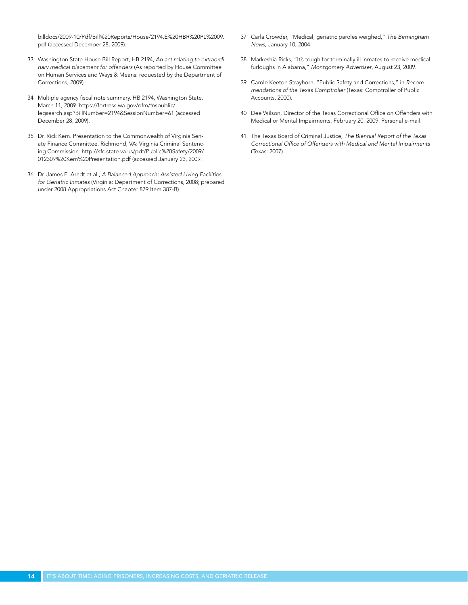billdocs/2009-10/Pdf/Bill%20Reports/House/2194.E%20HBR%20PL%2009. pdf (accessed December 28, 2009).

- 33 Washington State House Bill Report, HB 2194, An act relating to extraordinary medical placement for offenders (As reported by House Committee on Human Services and Ways & Means: requested by the Department of Corrections, 2009).
- 34 Multiple agency fiscal note summary, HB 2194, Washington State. March 11, 2009. https://fortress.wa.gov/ofm/fnspublic/ legsearch.asp?BillNumber=2194&SessionNumber=61 (accessed December 28, 2009).
- 35 Dr. Rick Kern. Presentation to the Commonwealth of Virginia Senate Finance Committee. Richmond, VA: Virginia Criminal Sentencing Commission. http://sfc.state.va.us/pdf/Public%20Safety/2009/ 012309%20Kern%20Presentation.pdf (accessed January 23, 2009.
- 36 Dr. James E. Arndt et al., A Balanced Approach: Assisted Living Facilities for Geriatric Inmates (Virginia: Department of Corrections, 2008; prepared under 2008 Appropriations Act Chapter 879 Item 387-B).
- 37 Carla Crowder, "Medical, geriatric paroles weighed," The Birmingham News, January 10, 2004.
- 38 Markeshia Ricks, "It's tough for terminally ill inmates to receive medical furloughs in Alabama," Montgomery Advertiser, August 23, 2009.
- 39 Carole Keeton Strayhorn, "Public Safety and Corrections," in Recommendations of the Texas Comptroller (Texas: Comptroller of Public Accounts, 2000).
- 40 Dee Wilson, Director of the Texas Correctional Office on Offenders with Medical or Mental Impairments. February 20, 2009. Personal e-mail.
- 41 The Texas Board of Criminal Justice, The Biennial Report of the Texas Correctional Office of Offenders with Medical and Mental Impairments (Texas: 2007).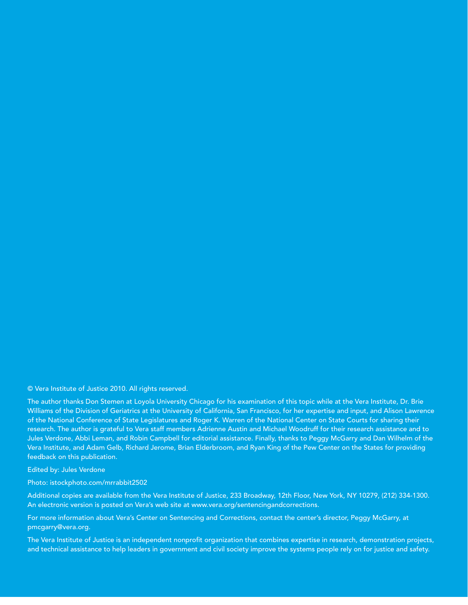#### © Vera Institute of Justice 2010. All rights reserved.

The author thanks Don Stemen at Loyola University Chicago for his examination of this topic while at the Vera Institute, Dr. Brie Williams of the Division of Geriatrics at the University of California, San Francisco, for her expertise and input, and Alison Lawrence of the National Conference of State Legislatures and Roger K. Warren of the National Center on State Courts for sharing their research. The author is grateful to Vera staff members Adrienne Austin and Michael Woodruff for their research assistance and to Jules Verdone, Abbi Leman, and Robin Campbell for editorial assistance. Finally, thanks to Peggy McGarry and Dan Wilhelm of the Vera Institute, and Adam Gelb, Richard Jerome, Brian Elderbroom, and Ryan King of the Pew Center on the States for providing feedback on this publication.

Edited by: Jules Verdone

Photo: istockphoto.com/mrrabbit2502

Additional copies are available from the Vera Institute of Justice, 233 Broadway, 12th Floor, New York, NY 10279, (212) 334-1300. An electronic version is posted on Vera's web site at www.vera.org/sentencingandcorrections.

For more information about Vera's Center on Sentencing and Corrections, contact the center's director, Peggy McGarry, at pmcgarry@vera.org.

The Vera Institute of Justice is an independent nonprofit organization that combines expertise in research, demonstration projects, and technical assistance to help leaders in government and civil society improve the systems people rely on for justice and safety.